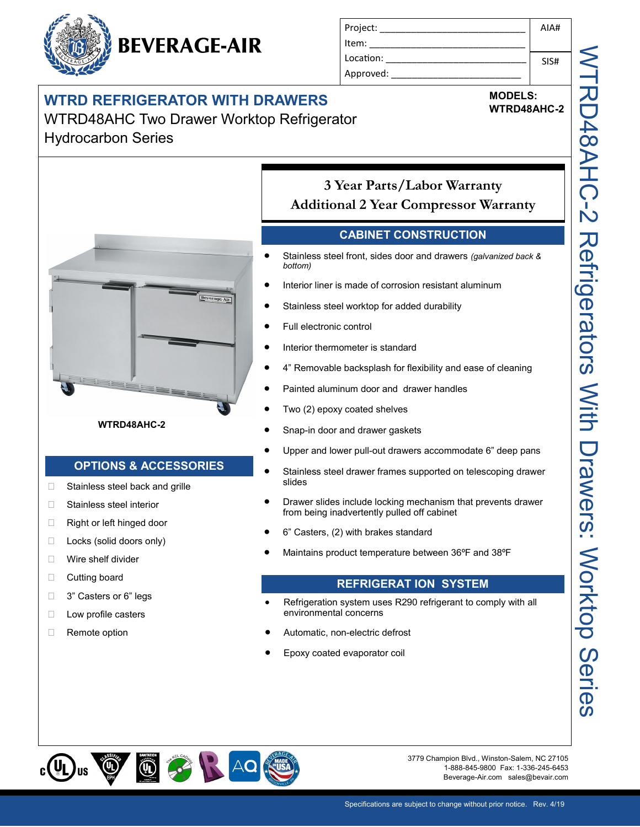# **BEVERAGE-AIR**

| AIA# |
|------|
|      |
| SIS# |
|      |
|      |

### **WTRD REFRIGERATOR WITH DRAWERS**

#### WTRD48AHC Two Drawer Worktop Refrigerator Hydrocarbon Series



#### **WTRD48AHC-2**

#### **OPTIONS & ACCESSORIES**

- □ Stainless steel back and grille
- □ Stainless steel interior
- □ Right or left hinged door
- $\Box$  Locks (solid doors only)
- □ Wire shelf divider
- □ Cutting board
- □ 3" Casters or 6" legs
- □ Low profile casters
- □ Remote option

#### **3 Year Parts/Labor Warranty Additional 2 Year Compressor Warranty**

#### **CABINET CONSTRUCTION**

- Stainless steel front, sides door and drawers *(galvanized back & bottom)*
- Interior liner is made of corrosion resistant aluminum
- Stainless steel worktop for added durability
- Full electronic control
- Interior thermometer is standard
- 4" Removable backsplash for flexibility and ease of cleaning
- Painted aluminum door and drawer handles
- Two (2) epoxy coated shelves
- Snap-in door and drawer gaskets
- Upper and lower pull-out drawers accommodate 6" deep pans
- Stainless steel drawer frames supported on telescoping drawer slides
- Drawer slides include locking mechanism that prevents drawer from being inadvertently pulled off cabinet
- 6" Casters, (2) with brakes standard
- Maintains product temperature between 36ºF and 38ºF

#### **REFRIGERAT ION SYSTEM**

- Refrigeration system uses R290 refrigerant to comply with all environmental concerns
- Automatic, non-electric defrost
- Epoxy coated evaporator coil



3779 Champion Blvd., Winston-Salem, NC 27105 1-888-845-9800 Fax: 1-336-245-6453 Beverage-Air.com sales@bevair.com

**MODELS:**

**WTRD48AHC-2**